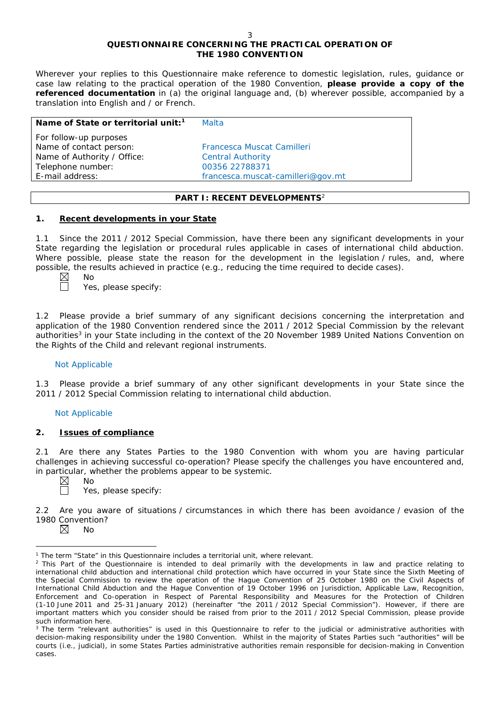# **QUESTIONNAIRE CONCERNING THE PRACTICAL OPERATION OF THE 1980 CONVENTION**

*Wherever your replies to this Questionnaire make reference to domestic legislation, rules, guidance or case law relating to the practical operation of the 1980 Convention, please provide a copy of the referenced documentation in (a) the original language and, (b) wherever possible, accompanied by a translation into English and / or French.* 

| Name of State or territorial unit: <sup>1</sup> | Malta                             |
|-------------------------------------------------|-----------------------------------|
| For follow-up purposes                          |                                   |
| Name of contact person:                         | Francesca Muscat Camilleri        |
| Name of Authority / Office:                     | <b>Central Authority</b>          |
| Telephone number:                               | 00356 22788371                    |
| E-mail address:                                 | francesca.muscat-camilleri@gov.mt |
|                                                 |                                   |

## **PART I: RECENT DEVELOPMENTS**<sup>2</sup>

## **1. Recent developments in your State**

1.1 Since the 2011 / 2012 Special Commission, have there been any significant developments in your State regarding the legislation or procedural rules applicable in cases of international child abduction. Where possible, please state the reason for the development in the legislation / rules, and, where possible, the results achieved in practice (*e.g.*, reducing the time required to decide cases).

Yes, please specify:

1.2 Please provide a brief summary of any significant decisions concerning the interpretation and application of the 1980 Convention rendered since the 2011 / 2012 Special Commission by the relevant authorities<sup>3</sup> in your State including in the context of the 20 November 1989 United Nations Convention on the Rights of the Child and relevant regional instruments.

# Not Applicable

No

1.3 Please provide a brief summary of any other significant developments in your State since the 2011 / 2012 Special Commission relating to international child abduction.

### Not Applicable

# **2. Issues of compliance**

No

2.1 Are there any States Parties to the 1980 Convention with whom you are having particular challenges in achieving successful co-operation? Please specify the challenges you have encountered and, in particular, whether the problems appear to be systemic.

 $\boxtimes$ 

Yes, please specify:

2.2 Are you aware of situations / circumstances in which there has been avoidance / evasion of the 1980 Convention?

No

 $\overline{a}$ <sup>1</sup> The term "State" in this Questionnaire includes a territorial unit, where relevant.

<sup>&</sup>lt;sup>2</sup> This Part of the Questionnaire is intended to deal primarily with the developments in law and practice relating to international child abduction and international child protection which have occurred in your State since the Sixth Meeting of the Special Commission to review the operation of the *Hague Convention of 25 October 1980 on the Civil Aspects of International Child Abduction* and the *Hague Convention of 19 October 1996 on Jurisdiction, Applicable Law, Recognition, Enforcement and Co-operation in Respect of Parental Responsibility and Measures for the Protection of Children* (1-10 June 2011 and 25-31 January 2012) (hereinafter "the 2011 / 2012 Special Commission"). However, if there are important matters which you consider should be raised from *prior to* the 2011 / 2012 Special Commission, please provide such information here.

<sup>&</sup>lt;sup>3</sup> The term "relevant authorities" is used in this Questionnaire to refer to the judicial or administrative authorities with decision-making responsibility under the 1980 Convention. Whilst in the majority of States Parties such "authorities" will be courts (*i.e.*, judicial), in some States Parties administrative authorities remain responsible for decision-making in Convention cases.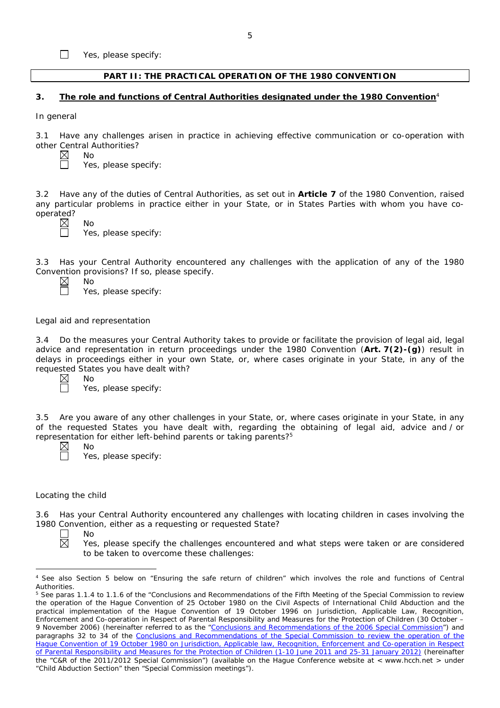Yes, please specify:

## **PART II: THE PRACTICAL OPERATION OF THE 1980 CONVENTION**

### **3. The role and functions of Central Authorities designated under the 1980 Convention**<sup>4</sup>

*In general*

 $\Box$ 

3.1 Have any challenges arisen in practice in achieving effective communication or co-operation with other Central Authorities?

No

Yes, please specify:

3.2 Have any of the duties of Central Authorities, as set out in **Article 7** of the 1980 Convention, raised any particular problems in practice either in your State, or in States Parties with whom you have cooperated?<br>  $\overline{\mathbb{Z}}$ 



No Yes, please specify:

3.3 Has your Central Authority encountered any challenges with the application of any of the 1980 Convention provisions? If so, please specify. No

Yes, please specify:

### *Legal aid and representation*

No

No

No

3.4 Do the measures your Central Authority takes to provide or facilitate the provision of legal aid, legal advice and representation in return proceedings under the 1980 Convention (**Art. 7(2)-(g)**) result in delays in proceedings either in your own State, or, where cases originate in your State, in any of the requested States you have dealt with?

 $\boxtimes$  $\Box$ 

Yes, please specify:

3.5 Are you aware of any other challenges in your State, or, where cases originate in your State, in any of the requested States you have dealt with, regarding the obtaining of legal aid, advice and / or representation for either left-behind parents or taking parents?5

Yes, please specify:

#### *Locating the child*

3.6 Has your Central Authority encountered any challenges with locating children in cases involving the 1980 Convention, either as a requesting or requested State?



 $\overline{a}$ 

Yes, please specify the challenges encountered and what steps were taken or are considered to be taken to overcome these challenges:

<sup>4</sup> See also Section 5 below on "Ensuring the safe return of children" which involves the role and functions of Central Authorities.

<sup>&</sup>lt;sup>5</sup> See paras 1.1.4 to 1.1.6 of the "Conclusions and Recommendations of the Fifth Meeting of the Special Commission to review the operation of the *Hague Convention of 25 October 1980 on the Civil Aspects of International Child Abduction* and the practical implementation of the *Hague Convention of 19 October 1996 on Jurisdiction, Applicable Law, Recognition*, *Enforcement and Co-operation in Respect of Parental Responsibility and Measures for the Protection of Children* (30 October – 9 November 2006) (hereinafter referred to as the ["Conclusions and Recommendations of the 2006 Special Commission"](https://assets.hcch.net/upload/concl28sc5_e.pdf)) and paragraphs 32 to 34 of the [Conclusions and Recommendations of the Special Commission](https://assets.hcch.net/upload/wop/concl28sc6_e.pdf) to review the operation of the Hague Convention of *19 October 1980 on Jurisdiction, Applicable law, [Recognition, Enforcement and Co-operation in Respect](https://assets.hcch.net/upload/wop/concl28sc6_e.pdf)  [of Parental Responsibility and Measures for the Protection of Children](https://assets.hcch.net/upload/wop/concl28sc6_e.pdf)* (1-10 June 2011 and 25-31 January 2012) (hereinafter the "C&R of the 2011/2012 Special Commission") (available on the Hague Conference website at < www.hcch.net > under "Child Abduction Section" then "Special Commission meetings").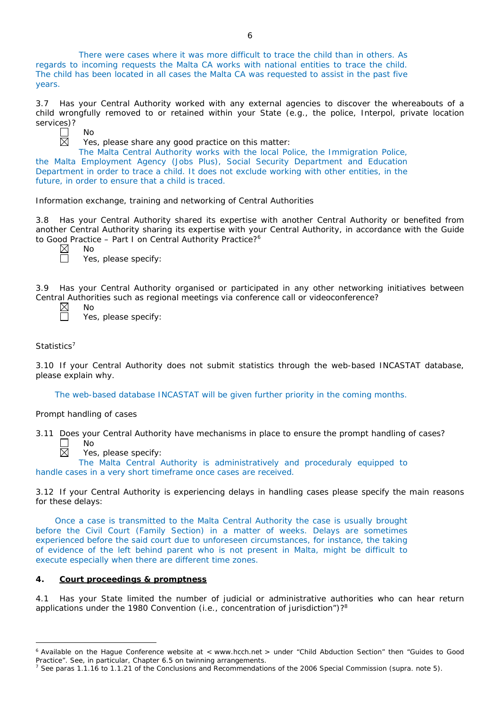There were cases where it was more difficult to trace the child than in others. As regards to incoming requests the Malta CA works with national entities to trace the child. The child has been located in all cases the Malta CA was requested to assist in the past five years.

3.7 Has your Central Authority worked with any external agencies to discover the whereabouts of a child wrongfully removed to or retained within your State (*e.g.*, the police, Interpol, private location services)?



Yes, please share any good practice on this matter:

The Malta Central Authority works with the local Police, the Immigration Police, the Malta Employment Agency (Jobs Plus), Social Security Department and Education Department in order to trace a child. It does not exclude working with other entities, in the future, in order to ensure that a child is traced.

*Information exchange, training and networking of Central Authorities*

3.8 Has your Central Authority shared its expertise with another Central Authority or benefited from another Central Authority sharing its expertise with your Central Authority, in accordance with the Guide to Good Practice - Part I on Central Authority Practice?<sup>6</sup>

No

Yes, please specify:

3.9 Has your Central Authority organised or participated in any other networking initiatives between Central Authorities such as regional meetings via conference call or videoconference?<br>  $\boxtimes$  No<br>
Yes, please specify: No

 $\boxtimes$ 

Yes, please specify:

# *Statistics*<sup>7</sup>

 $\overline{a}$ 

3.10 If your Central Authority does not submit statistics through the web-based INCASTAT database, please explain why.

The web-based database INCASTAT will be given further priority in the coming months.

# *Prompt handling of cases*

3.11 Does your Central Authority have mechanisms in place to ensure the prompt handling of cases? No

Yes, please specify:

The Malta Central Authority is administratively and proceduraly equipped to handle cases in a very short timeframe once cases are received.

3.12 If your Central Authority is experiencing delays in handling cases please specify the main reasons for these delays:

Once a case is transmitted to the Malta Central Authority the case is usually brought before the Civil Court (Family Section) in a matter of weeks. Delays are sometimes experienced before the said court due to unforeseen circumstances, for instance, the taking of evidence of the left behind parent who is not present in Malta, might be difficult to execute especially when there are different time zones.

# **4. Court proceedings & promptness**

4.1 Has your State limited the number of judicial or administrative authorities who can hear return applications under the 1980 Convention (*i.e.*, concentration of jurisdiction")?8

<sup>6</sup> Available on the Hague Conference website at < www.hcch.net > under "Child Abduction Section" then "Guides to Good Practice". See, in particular, Chapter 6.5 on twinning arrangements.

<sup>7</sup> See paras 1.1.16 to 1.1.21 of the Conclusions and Recommendations of the 2006 Special Commission (*supra.* note 5).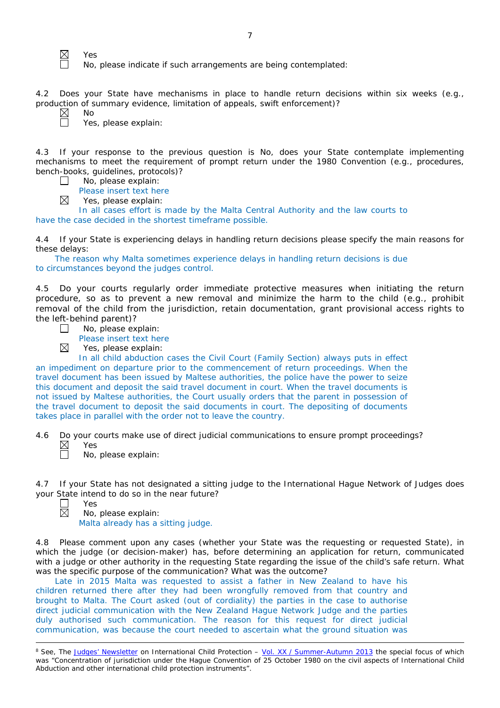Yes

No

No, please indicate if such arrangements are being contemplated:

4.2 Does your State have mechanisms in place to handle return decisions within six weeks (*e.g.*, production of summary evidence, limitation of appeals, swift enforcement)?

 $\boxtimes$ 

⊠

 $\Box$ 

 $\boxtimes$ 

Yes, please explain:

4.3 If your response to the previous question is No, does your State contemplate implementing mechanisms to meet the requirement of prompt return under the 1980 Convention (*e.g.*, procedures, bench-books, guidelines, protocols)?  $\Box$ 

No, please explain:

Please insert text here

Yes, please explain:

In all cases effort is made by the Malta Central Authority and the law courts to have the case decided in the shortest timeframe possible.

4.4 If your State is experiencing delays in handling return decisions please specify the main reasons for these delays:

The reason why Malta sometimes experience delays in handling return decisions is due to circumstances beyond the judges control.

4.5 Do your courts regularly order immediate protective measures when initiating the return procedure, so as to prevent a new removal and minimize the harm to the child (*e.g.*, prohibit removal of the child from the jurisdiction, retain documentation, grant provisional access rights to the left-behind parent)?

|  | No, please explain: |
|--|---------------------|

Please insert text here

Yes, please explain:

In all child abduction cases the Civil Court (Family Section) always puts in effect an impediment on departure prior to the commencement of return proceedings. When the travel document has been issued by Maltese authorities, the police have the power to seize this document and deposit the said travel document in court. When the travel documents is not issued by Maltese authorities, the Court usually orders that the parent in possession of the travel document to deposit the said documents in court. The depositing of documents takes place in parallel with the order not to leave the country.

4.6 Do your courts make use of direct judicial communications to ensure prompt proceedings?  $\boxtimes$ Yes

No, please explain:

4.7 If your State has not designated a sitting judge to the International Hague Network of Judges does your State intend to do so in the near future?

П  $\boxtimes$ 

 $\overline{a}$ 

Yes

No, please explain: Malta already has a sitting judge.

4.8 Please comment upon any cases (whether your State was the requesting or requested State), in which the judge (or decision-maker) has, before determining an application for return, communicated with a judge or other authority in the requesting State regarding the issue of the child's safe return. What was the specific purpose of the communication? What was the outcome?

Late in 2015 Malta was requested to assist a father in New Zealand to have his children returned there after they had been wrongfully removed from that country and brought to Malta. The Court asked (out of cordiality) the parties in the case to authorise direct judicial communication with the New Zealand Hague Network Judge and the parties duly authorised such communication. The reason for this request for direct judicial communication, was because the court needed to ascertain what the ground situation was

<sup>&</sup>lt;sup>8</sup> See, *The [Judges' Newsletter](https://www.hcch.net/en/instruments/conventions/publications2/judges-newsletter)* on International Child Protection – Vol. XX / [Summer-Autumn 2013](https://assets.hcch.net/upload/newsletter/nl2013tome20en.pdf) the special focus of which was "Concentration of jurisdiction under the *Hague Convention of 25 October 1980 on the civil aspects of International Child Abduction* and other international child protection instruments".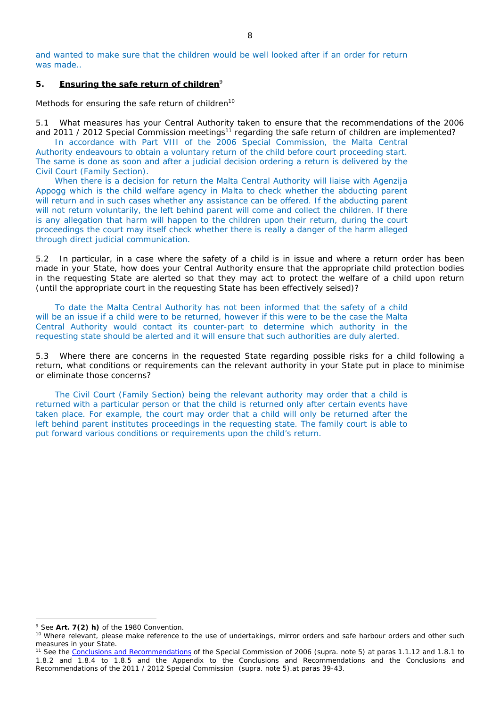and wanted to make sure that the children would be well looked after if an order for return was made.

## **5. Ensuring the safe return of children**<sup>9</sup>

*Methods for ensuring the safe return of children*<sup>10</sup>

5.1 What measures has your Central Authority taken to ensure that the recommendations of the 2006 and 2011 / 2012 Special Commission meetings<sup>11</sup> regarding the safe return of children are implemented?

In accordance with Part VIII of the 2006 Special Commission, the Malta Central Authority endeavours to obtain a voluntary return of the child before court proceeding start. The same is done as soon and after a judicial decision ordering a return is delivered by the Civil Court (Family Section).

When there is a decision for return the Malta Central Authority will liaise with Agenzija Appogg which is the child welfare agency in Malta to check whether the abducting parent will return and in such cases whether any assistance can be offered. If the abducting parent will not return voluntarily, the left behind parent will come and collect the children. If there is any allegation that harm will happen to the children upon their return, during the court proceedings the court may itself check whether there is really a danger of the harm alleged through direct judicial communication.

5.2 In particular, in a case where the safety of a child is in issue and where a return order has been made in your State, how does your Central Authority ensure that the appropriate child protection bodies in the *requesting* State are alerted so that they may act to protect the welfare of a child upon return (until the appropriate court in the requesting State has been effectively seised)?

To date the Malta Central Authority has not been informed that the safety of a child will be an issue if a child were to be returned, however if this were to be the case the Malta Central Authority would contact its counter-part to determine which authority in the requesting state should be alerted and it will ensure that such authorities are duly alerted.

5.3 Where there are concerns in the requested State regarding possible risks for a child following a return, what conditions or requirements can the relevant authority in your State put in place to minimise or eliminate those concerns?

The Civil Court (Family Section) being the relevant authority may order that a child is returned with a particular person or that the child is returned only after certain events have taken place. For example, the court may order that a child will only be returned after the left behind parent institutes proceedings in the requesting state. The family court is able to put forward various conditions or requirements upon the child's return.

 $\overline{a}$ 

<sup>9</sup> See **Art. 7(2)** *h)* of the 1980 Convention.

<sup>&</sup>lt;sup>10</sup> Where relevant, please make reference to the use of undertakings, mirror orders and safe harbour orders and other such measures in your State.

<sup>11</sup> See the [Conclusions and Recommendations](https://assets.hcch.net/upload/concl28sc5_e.pdf) of the Special Commission of 2006 (*supra.* note 5) at paras 1.1.12 and 1.8.1 to 1.8.2 and 1.8.4 to 1.8.5 and the Appendix to the Conclusions and Recommendations and the [Conclusions and](https://assets.hcch.net/upload/wop/concl28sc6_e.pdf)  [Recommendations of the 2011](https://assets.hcch.net/upload/wop/concl28sc6_e.pdf) / 2012 Special Commission (*supra.* note 5).at paras 39-43.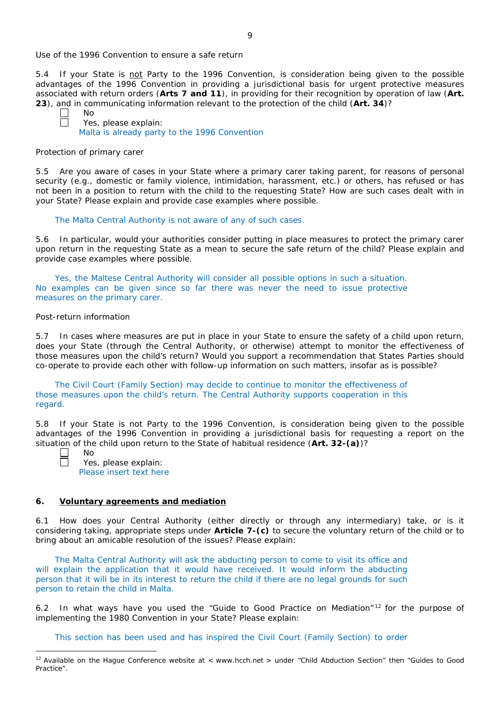*Use of the 1996 Convention to ensure a safe return*

5.4 If your State is not Party to the 1996 Convention, is consideration being given to the possible advantages of the 1996 Convention in providing a jurisdictional basis for urgent protective measures associated with return orders (**Arts 7 and 11**), in providing for their recognition by operation of law (**Art. 23**), and in communicating information relevant to the protection of the child (**Art. 34**)?

No Yes, please explain: Malta is already party to the 1996 Convention

#### *Protection of primary carer*

5.5 Are you aware of cases in your State where a primary carer taking parent, for reasons of personal security (*e.g.*, domestic or family violence, intimidation, harassment, etc.) or others, has refused or has not been in a position to return with the child to the requesting State? How are such cases dealt with in your State? Please explain and provide case examples where possible.

#### The Malta Central Authority is not aware of any of such cases.

5.6 In particular, would your authorities consider putting in place measures to protect the primary carer upon return in the requesting State as a mean to secure the safe return of the child? Please explain and provide case examples where possible.

Yes, the Maltese Central Authority will consider all possible options in such a situation. No examples can be given since so far there was never the need to issue protective measures on the primary carer.

#### *Post-return information*

5.7 In cases where measures are put in place in your State to ensure the safety of a child upon return, does your State (through the Central Authority, or otherwise) attempt to monitor the effectiveness of those measures upon the child's return? Would you support a recommendation that States Parties should co-operate to provide each other with follow-up information on such matters, insofar as is possible?

The Civil Court (Family Section) may decide to continue to monitor the effectiveness of those measures upon the child's return. The Central Authority supports cooperation in this regard.

5.8 If your State is not Party to the 1996 Convention, is consideration being given to the possible advantages of the 1996 Convention in providing a jurisdictional basis for requesting a report on the situation of the child upon return to the State of habitual residence (**Art. 32-(a)**)?

 $\overline{a}$ 

No

Yes, please explain: Please insert text here

#### **6. Voluntary agreements and mediation**

6.1 How does your Central Authority (either directly or through any intermediary) take, or is it considering taking, appropriate steps under **Article 7-(c)** to secure the voluntary return of the child or to bring about an amicable resolution of the issues? Please explain:

The Malta Central Authority will ask the abducting person to come to visit its office and will explain the application that it would have received. It would inform the abducting person that it will be in its interest to return the child if there are no legal grounds for such person to retain the child in Malta.

6.2 In what ways have you used the "Guide to Good Practice on Mediation" <sup>12</sup> for the purpose of implementing the 1980 Convention in your State? Please explain:

This section has been used and has inspired the Civil Court (Family Section) to order

 $12$  Available on the Hague Conference website at < www.hcch.net > under "Child Abduction Section" then "Guides to Good Practice".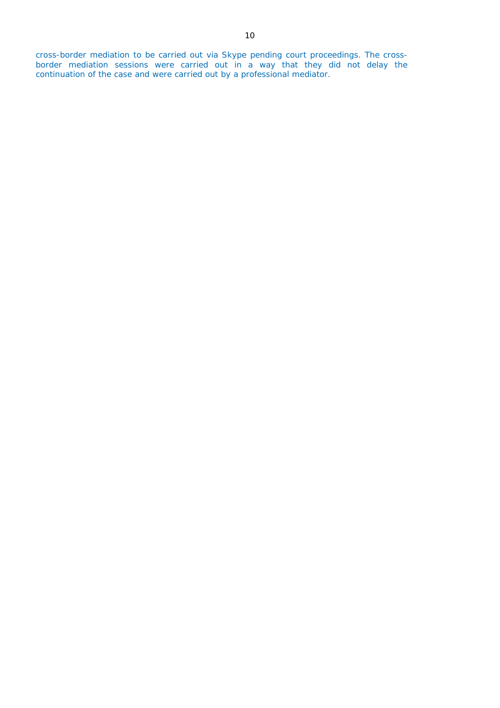cross-border mediation to be carried out via Skype pending court proceedings. The crossborder mediation sessions were carried out in a way that they did not delay the continuation of the case and were carried out by a professional mediator.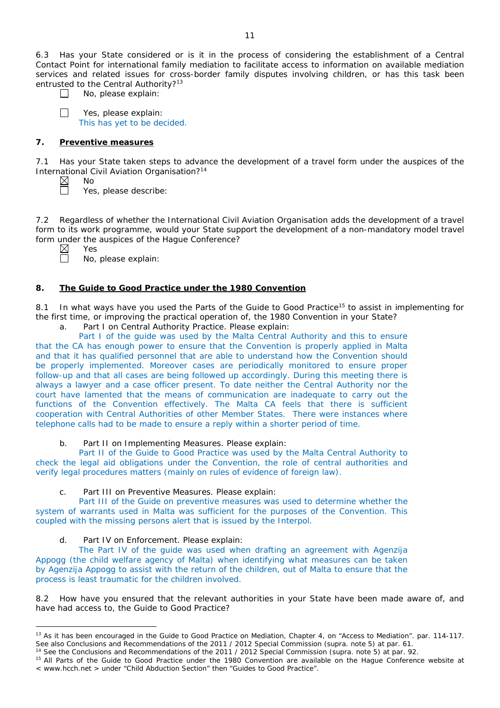6.3 Has your State considered or is it in the process of considering the establishment of a Central Contact Point for international family mediation to facilitate access to information on available mediation services and related issues for cross-border family disputes involving children, or has this task been entrusted to the Central Authority?<sup>13</sup>

 $\perp$ 

 $\Box$ 

No, please explain:

Yes, please explain: This has yet to be decided.

# **7. Preventive measures**

No

Yes

7.1 Has your State taken steps to advance the development of a travel form under the auspices of the International Civil Aviation Organisation?14

Yes, please describe:

7.2 Regardless of whether the International Civil Aviation Organisation adds the development of a travel form to its work programme, would your State support the development of a non-mandatory model travel form under the auspices of the Hague Conference?

 $\overline{a}$ 

No, please explain:

# **8. The Guide to Good Practice under the 1980 Convention**

8.1 In what ways have you used the Parts of the Guide to Good Practice<sup>15</sup> to assist in implementing for the first time, or improving the practical operation of, the 1980 Convention in your State?

a. Part I on Central Authority Practice. Please explain:

Part I of the guide was used by the Malta Central Authority and this to ensure that the CA has enough power to ensure that the Convention is properly applied in Malta and that it has qualified personnel that are able to understand how the Convention should be properly implemented. Moreover cases are periodically monitored to ensure proper follow-up and that all cases are being followed up accordingly. During this meeting there is always a lawyer and a case officer present. To date neither the Central Authority nor the court have lamented that the means of communication are inadequate to carry out the functions of the Convention effectively. The Malta CA feels that there is sufficient cooperation with Central Authorities of other Member States. There were instances where telephone calls had to be made to ensure a reply within a shorter period of time.

b. Part II on Implementing Measures. Please explain:

Part II of the Guide to Good Practice was used by the Malta Central Authority to check the legal aid obligations under the Convention, the role of central authorities and verify legal procedures matters (mainly on rules of evidence of foreign law).

# c. Part III on Preventive Measures. Please explain:

Part III of the Guide on preventive measures was used to determine whether the system of warrants used in Malta was sufficient for the purposes of the Convention. This coupled with the missing persons alert that is issued by the Interpol.

# d. Part IV on Enforcement. Please explain:

The Part IV of the guide was used when drafting an agreement with Agenzija Appogg (the child welfare agency of Malta) when identifying what measures can be taken by Agenzija Appogg to assist with the return of the children, out of Malta to ensure that the process is least traumatic for the children involved.

8.2 How have you ensured that the relevant authorities in your State have been made aware of, and have had access to, the Guide to Good Practice?

<sup>&</sup>lt;sup>13</sup> As it has been encouraged in the Guide to Good Practice on Mediation, Chapter 4, on "Access to Mediation". par. 114-117. See also [Conclusions and Recommendations of the 2011](https://assets.hcch.net/upload/wop/concl28sc6_e.pdf) / 2012 Special Commission (*supra.* note 5) at par. 61.

<sup>14</sup> See the [Conclusions and Recommendations of the 2011](https://assets.hcch.net/upload/wop/concl28sc6_e.pdf) / 2012 Special Commission (*supra.* note 5) at par. 92.

<sup>&</sup>lt;sup>15</sup> All Parts of the Guide to Good Practice under the 1980 Convention are available on the Hague Conference website at < www.hcch.net > under "Child Abduction Section" then "Guides to Good Practice".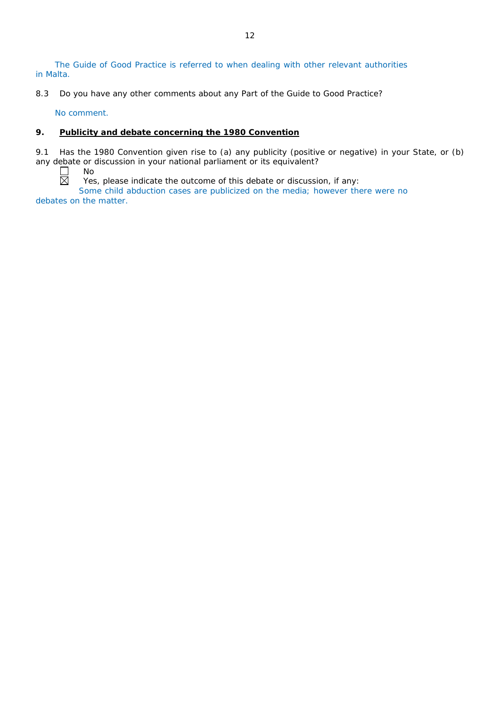The Guide of Good Practice is referred to when dealing with other relevant authorities in Malta.

8.3 Do you have any other comments about any Part of the Guide to Good Practice?

No comment.

# **9. Publicity and debate concerning the 1980 Convention**

9.1 Has the 1980 Convention given rise to (a) any publicity (positive or negative) in your State, or (b) any debate or discussion in your national parliament or its equivalent? No

 $\Box$ 岗

Yes, please indicate the outcome of this debate or discussion, if any:

Some child abduction cases are publicized on the media; however there were no debates on the matter.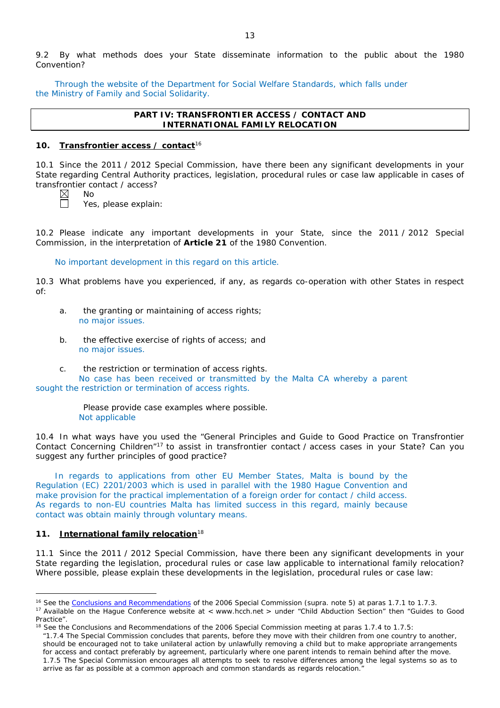9.2 By what methods does your State disseminate information to the public about the 1980 Convention?

Through the website of the Department for Social Welfare Standards, which falls under the Ministry of Family and Social Solidarity.

### **PART IV: TRANSFRONTIER ACCESS / CONTACT AND INTERNATIONAL FAMILY RELOCATION**

## **10. Transfrontier access / contact**<sup>16</sup>

10.1 Since the 2011 / 2012 Special Commission, have there been any significant developments in your State regarding Central Authority practices, legislation, procedural rules or case law applicable in cases of transfrontier contact / access?



No

Yes, please explain:

10.2 Please indicate any important developments in your State, since the 2011 / 2012 Special Commission, in the interpretation of **Article 21** of the 1980 Convention.

No important development in this regard on this article.

10.3 What problems have you experienced, if any, as regards co-operation with other States in respect of:

- a. the granting or maintaining of access rights; no major issues.
- b. the effective exercise of rights of access; and no major issues.
- c. the restriction or termination of access rights. No case has been received or transmitted by the Malta CA whereby a parent sought the restriction or termination of access rights.

Please provide case examples where possible. Not applicable

10.4 In what ways have you used the "General Principles and Guide to Good Practice on Transfrontier Contact Concerning Children"17 to assist in transfrontier contact / access cases in your State? Can you suggest any further principles of good practice?

In regards to applications from other EU Member States, Malta is bound by the Regulation (EC) 2201/2003 which is used in parallel with the 1980 Hague Convention and make provision for the practical implementation of a foreign order for contact / child access. As regards to non-EU countries Malta has limited success in this regard, mainly because contact was obtain mainly through voluntary means.

# **11. International family relocation**<sup>18</sup>

 $\overline{a}$ 

11.1 Since the 2011 / 2012 Special Commission, have there been any significant developments in your State regarding the legislation, procedural rules or case law applicable to international family relocation? Where possible, please explain these developments in the legislation, procedural rules or case law:

*"*1.7.4 The Special Commission concludes that parents, before they move with their children from one country to another, should be encouraged not to take unilateral action by unlawfully removing a child but to make appropriate arrangements for access and contact preferably by agreement, particularly where one parent intends to remain behind after the move. 1.7.5 The Special Commission encourages all attempts to seek to resolve differences among the legal systems so as to arrive as far as possible at a common approach and common standards as regards relocation."

<sup>&</sup>lt;sup>16</sup> See the [Conclusions and Recommendations](https://assets.hcch.net/upload/concl28sc5_e.pdf)</u> of the 2006 Special Commission (*supra.* note 5) at paras 1.7.1 to 1.7.3.

<sup>&</sup>lt;sup>17</sup> Available on the Haque Conference website at < www.hcch.net > under "Child Abduction Section" then "Guides to Good Practice".

 $18$  See the Conclusions and Recommendations of the 2006 Special Commission meeting at paras 1.7.4 to 1.7.5: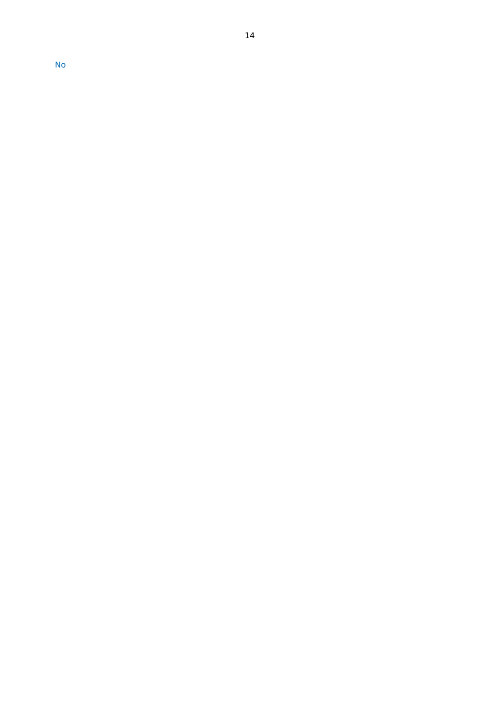No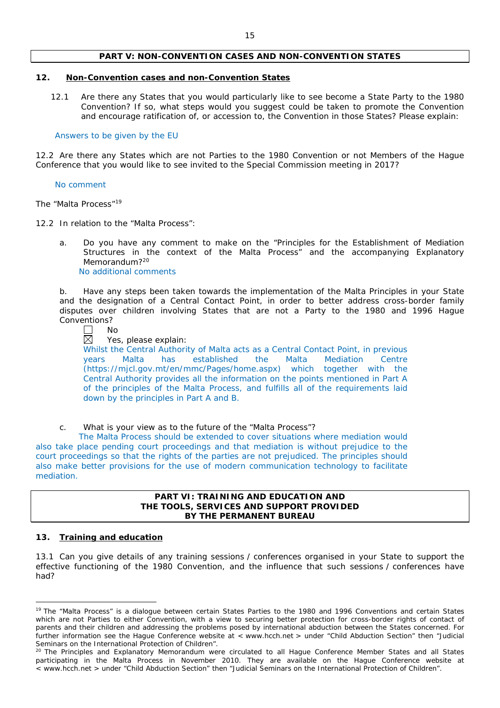### **PART V: NON-CONVENTION CASES AND NON-CONVENTION STATES**

### **12. Non-Convention cases and non-Convention States**

12.1 Are there any States that you would particularly like to see become a State Party to the 1980 Convention? If so, what steps would you suggest could be taken to promote the Convention and encourage ratification of, or accession to, the Convention in those States? Please explain:

#### Answers to be given by the EU

12.2 Are there any States which are not Parties to the 1980 Convention or not Members of the Hague Conference that you would like to see invited to the Special Commission meeting in 2017?

#### No comment

*The "Malta Process"*<sup>19</sup>

- 12.2 In relation to the "Malta Process":
	- a. Do you have any comment to make on the "Principles for the Establishment of Mediation Structures in the context of the Malta Process" and the accompanying Explanatory Memorandum?<sup>20</sup>

No additional comments

b. Have any steps been taken towards the implementation of the Malta Principles in your State and the designation of a Central Contact Point, in order to better address cross-border family disputes over children involving States that are not a Party to the 1980 and 1996 Hague Conventions?

No

岗 Yes, please explain:

Whilst the Central Authority of Malta acts as a Central Contact Point, in previous years Malta has established the Malta Mediation Centre (https://mjcl.gov.mt/en/mmc/Pages/home.aspx) which together with the Central Authority provides all the information on the points mentioned in Part A of the principles of the Malta Process, and fulfills all of the requirements laid down by the principles in Part A and B.

c. What is your view as to the future of the "Malta Process"?

The Malta Process should be extended to cover situations where mediation would also take place pending court proceedings and that mediation is without prejudice to the court proceedings so that the rights of the parties are not prejudiced. The principles should also make better provisions for the use of modern communication technology to facilitate mediation.

### **PART VI: TRAINING AND EDUCATION AND THE TOOLS, SERVICES AND SUPPORT PROVIDED BY THE PERMANENT BUREAU**

### **13. Training and education**

 $\overline{a}$ 

13.1 Can you give details of any training sessions / conferences organised in your State to support the effective functioning of the 1980 Convention, and the influence that such sessions / conferences have had?

<sup>&</sup>lt;sup>19</sup> The "Malta Process" is a dialogue between certain States Parties to the 1980 and 1996 Conventions and certain States which are not Parties to either Convention, with a view to securing better protection for cross-border rights of contact of parents and their children and addressing the problems posed by international abduction between the States concerned. For further information see the Hague Conference website at < www.hcch.net > under "Child Abduction Section" then "Judicial Seminars on the International Protection of Children".

<sup>&</sup>lt;sup>20</sup> The Principles and Explanatory Memorandum were circulated to all Hague Conference Member States and all States participating in the Malta Process in November 2010. They are available on the Hague Conference website at < www.hcch.net > under "Child Abduction Section" then "Judicial Seminars on the International Protection of Children".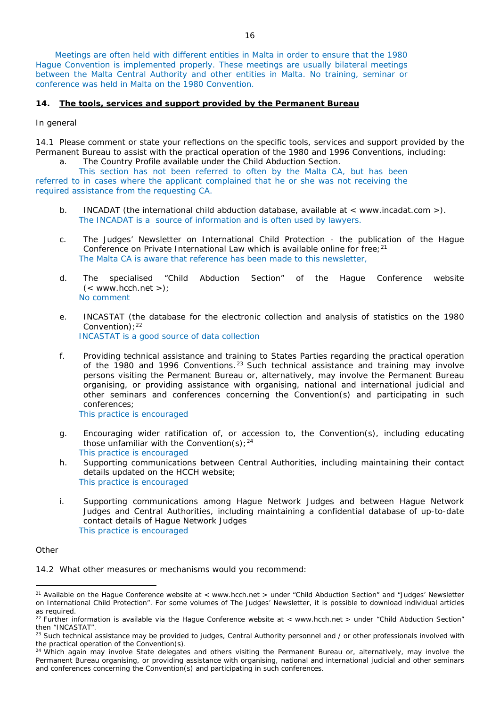Meetings are often held with different entities in Malta in order to ensure that the 1980 Hague Convention is implemented properly. These meetings are usually bilateral meetings between the Malta Central Authority and other entities in Malta. No training, seminar or conference was held in Malta on the 1980 Convention.

#### **14. The tools, services and support provided by the Permanent Bureau**

*In general*

14.1 Please comment or state your reflections on the specific tools, services and support provided by the Permanent Bureau to assist with the practical operation of the 1980 and 1996 Conventions, including:

a. The Country Profile available under the Child Abduction Section.

This section has not been referred to often by the Malta CA, but has been referred to in cases where the applicant complained that he or she was not receiving the required assistance from the requesting CA.

- b. INCADAT (the international child abduction database, available at  $\lt$  www.incadat.com  $\gt)$ ). The INCADAT is a source of information and is often used by lawyers.
- c. *The Judges' Newsletter* on International Child Protection the publication of the Hague Conference on Private International Law which is available online for free;<sup>21</sup> The Malta CA is aware that reference has been made to this newsletter,
- d. The specialised "Child Abduction Section" of the Hague Conference website  $(<$  www.hcch.net >); No comment
- e. INCASTAT (the database for the electronic collection and analysis of statistics on the 1980 Convention);  $22$ INCASTAT is a good source of data collection
- f. Providing technical assistance and training to States Parties regarding the practical operation of the 1980 and 1996 Conventions.  $23$  Such technical assistance and training may involve persons visiting the Permanent Bureau or, alternatively, may involve the Permanent Bureau organising, or providing assistance with organising, national and international judicial and other seminars and conferences concerning the Convention(s) and participating in such conferences;

This practice is encouraged

- g. Encouraging wider ratification of, or accession to, the Convention(s), including educating those unfamiliar with the Convention(s);  $24$ This practice is encouraged
- h. Supporting communications between Central Authorities, including maintaining their contact details updated on the HCCH website; This practice is encouraged
- i. Supporting communications among Hague Network Judges and between Hague Network Judges and Central Authorities, including maintaining a confidential database of up-to-date contact details of Hague Network Judges This practice is encouraged

#### *Other*

 $\overline{a}$ 

14.2 What other measures or mechanisms would you recommend:

<sup>&</sup>lt;sup>21</sup> Available on the Hague Conference website at < www.hcch.net > under "Child Abduction Section" and "Judges' Newsletter on International Child Protection". For some volumes of *The Judges' Newsletter*, it is possible to download individual articles as required.

<sup>&</sup>lt;sup>22</sup> Further information is available via the Hague Conference website at < www.hcch.net > under "Child Abduction Section" then "INCASTAT".

<sup>&</sup>lt;sup>23</sup> Such technical assistance may be provided to judges, Central Authority personnel and / or other professionals involved with the practical operation of the Convention(s).

 $24$  Which again may involve State delegates and others visiting the Permanent Bureau or, alternatively, may involve the Permanent Bureau organising, or providing assistance with organising, national and international judicial and other seminars and conferences concerning the Convention(s) and participating in such conferences.